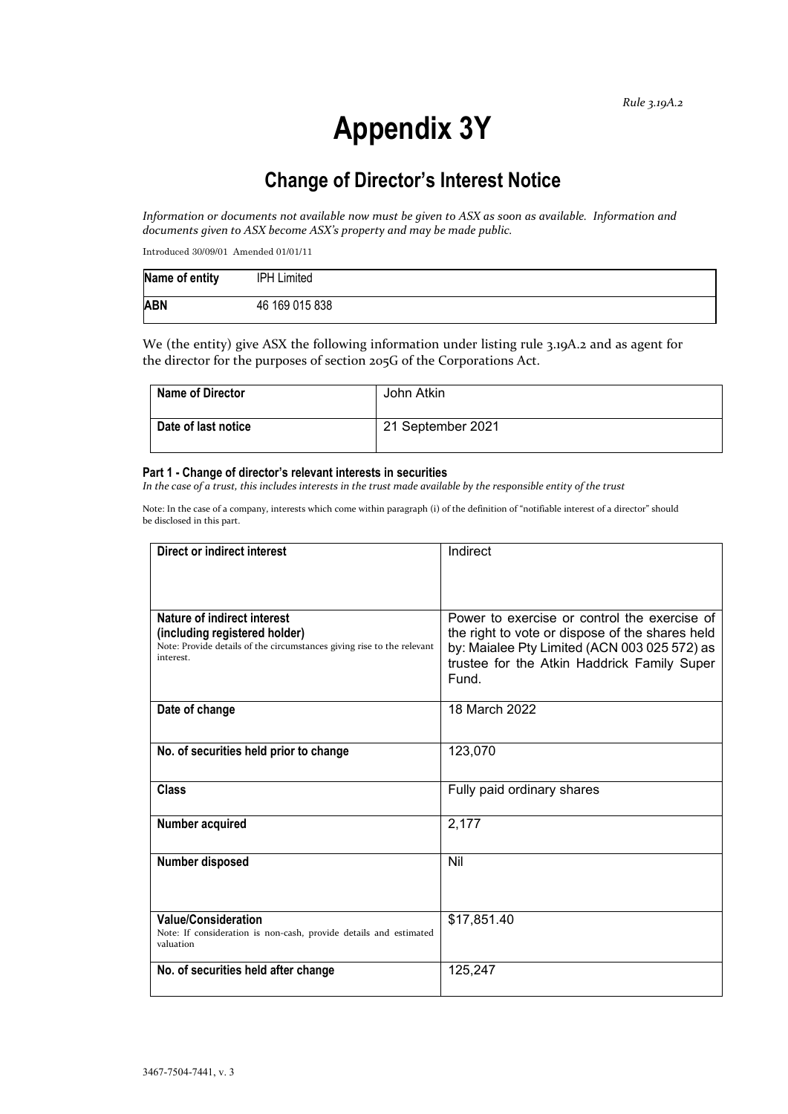# **Appendix 3Y**

# **Change of Director's Interest Notice**

*Information or documents not available now must be given to ASX as soon as available. Information and documents given to ASX become ASX's property and may be made public.*

Introduced 30/09/01 Amended 01/01/11

| Name of entity | <b>IPH Limited</b> |
|----------------|--------------------|
| <b>ABN</b>     | 46 169 015 838     |

We (the entity) give ASX the following information under listing rule 3.19A.2 and as agent for the director for the purposes of section 205G of the Corporations Act.

| <b>Name of Director</b> | John Atkin        |
|-------------------------|-------------------|
| Date of last notice     | 21 September 2021 |

#### **Part 1 - Change of director's relevant interests in securities**

*In the case of a trust, this includes interests in the trust made available by the responsible entity of the trust*

Note: In the case of a company, interests which come within paragraph (i) of the definition of "notifiable interest of a director" should be disclosed in this part.

| <b>Direct or indirect interest</b>                                                                                                                  | Indirect                                                                                                                                                                                                |  |
|-----------------------------------------------------------------------------------------------------------------------------------------------------|---------------------------------------------------------------------------------------------------------------------------------------------------------------------------------------------------------|--|
|                                                                                                                                                     |                                                                                                                                                                                                         |  |
| Nature of indirect interest<br>(including registered holder)<br>Note: Provide details of the circumstances giving rise to the relevant<br>interest. | Power to exercise or control the exercise of<br>the right to vote or dispose of the shares held<br>by: Maialee Pty Limited (ACN 003 025 572) as<br>trustee for the Atkin Haddrick Family Super<br>Fund. |  |
| Date of change                                                                                                                                      | 18 March 2022                                                                                                                                                                                           |  |
| No. of securities held prior to change                                                                                                              | 123,070                                                                                                                                                                                                 |  |
| <b>Class</b>                                                                                                                                        | Fully paid ordinary shares                                                                                                                                                                              |  |
| Number acquired                                                                                                                                     | 2,177                                                                                                                                                                                                   |  |
| <b>Number disposed</b>                                                                                                                              | Nil                                                                                                                                                                                                     |  |
| <b>Value/Consideration</b><br>Note: If consideration is non-cash, provide details and estimated<br>valuation                                        | \$17,851.40                                                                                                                                                                                             |  |
| No. of securities held after change                                                                                                                 | 125,247                                                                                                                                                                                                 |  |